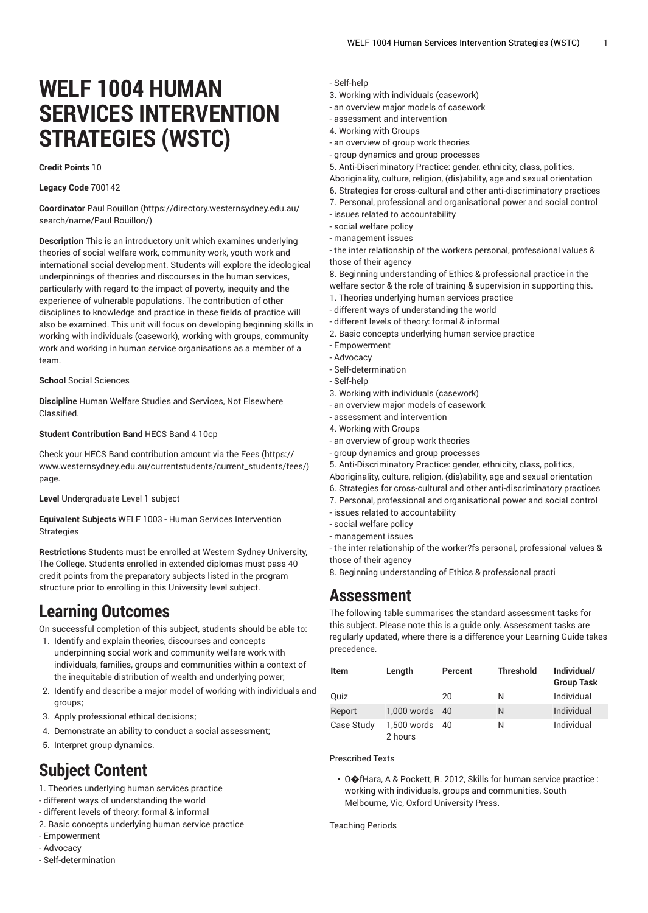# **WELF 1004 HUMAN SERVICES INTERVENTION STRATEGIES (WSTC)**

#### **Credit Points** 10

#### **Legacy Code** 700142

**Coordinator** Paul [Rouillon](https://directory.westernsydney.edu.au/search/name/Paul Rouillon/) ([https://directory.westernsydney.edu.au/](https://directory.westernsydney.edu.au/search/name/Paul Rouillon/) [search/name/Paul](https://directory.westernsydney.edu.au/search/name/Paul Rouillon/) Rouillon/)

**Description** This is an introductory unit which examines underlying theories of social welfare work, community work, youth work and international social development. Students will explore the ideological underpinnings of theories and discourses in the human services, particularly with regard to the impact of poverty, inequity and the experience of vulnerable populations. The contribution of other disciplines to knowledge and practice in these fields of practice will also be examined. This unit will focus on developing beginning skills in working with individuals (casework), working with groups, community work and working in human service organisations as a member of a team.

#### **School** Social Sciences

**Discipline** Human Welfare Studies and Services, Not Elsewhere Classified.

#### **Student Contribution Band** HECS Band 4 10cp

Check your HECS Band contribution amount via the [Fees \(https://](https://www.westernsydney.edu.au/currentstudents/current_students/fees/) [www.westernsydney.edu.au/currentstudents/current\\_students/fees/\)](https://www.westernsydney.edu.au/currentstudents/current_students/fees/) page.

**Level** Undergraduate Level 1 subject

**Equivalent Subjects** [WELF 1003](/search/?P=WELF%201003) - Human Services Intervention Strategies

**Restrictions** Students must be enrolled at Western Sydney University, The College. Students enrolled in extended diplomas must pass 40 credit points from the preparatory subjects listed in the program structure prior to enrolling in this University level subject.

## **Learning Outcomes**

On successful completion of this subject, students should be able to:

- 1. Identify and explain theories, discourses and concepts underpinning social work and community welfare work with individuals, families, groups and communities within a context of the inequitable distribution of wealth and underlying power;
- 2. Identify and describe a major model of working with individuals and groups;
- 3. Apply professional ethical decisions;
- 4. Demonstrate an ability to conduct a social assessment;
- 5. Interpret group dynamics.

# **Subject Content**

- 1. Theories underlying human services practice
- different ways of understanding the world
- different levels of theory: formal & informal
- 2. Basic concepts underlying human service practice
- Empowerment
- Advocacy
- Self-determination

### - Self-help

- 3. Working with individuals (casework)
- an overview major models of casework
- assessment and intervention
- 4. Working with Groups
- an overview of group work theories
- group dynamics and group processes
- 5. Anti-Discriminatory Practice: gender, ethnicity, class, politics,
- Aboriginality, culture, religion, (dis)ability, age and sexual orientation
- 6. Strategies for cross-cultural and other anti-discriminatory practices
- 7. Personal, professional and organisational power and social control
- issues related to accountability
- social welfare policy
- management issues
- the inter relationship of the workers personal, professional values & those of their agency

8. Beginning understanding of Ethics & professional practice in the welfare sector & the role of training & supervision in supporting this.

- 1. Theories underlying human services practice
- different ways of understanding the world
- different levels of theory: formal & informal
- 2. Basic concepts underlying human service practice
- Empowerment
- Advocacy
- Self-determination
- Self-help
- 3. Working with individuals (casework)
- an overview major models of casework
- assessment and intervention
- 4. Working with Groups
- an overview of group work theories
- group dynamics and group processes

5. Anti-Discriminatory Practice: gender, ethnicity, class, politics, Aboriginality, culture, religion, (dis)ability, age and sexual orientation 6. Strategies for cross-cultural and other anti-discriminatory practices

- 7. Personal, professional and organisational power and social control
- issues related to accountability
- social welfare policy
- management issues

- the inter relationship of the worker?fs personal, professional values & those of their agency

8. Beginning understanding of Ethics & professional practi

## **Assessment**

The following table summarises the standard assessment tasks for this subject. Please note this is a guide only. Assessment tasks are regularly updated, where there is a difference your Learning Guide takes precedence.

| Item       | Length                    | Percent | <b>Threshold</b> | Individual/<br><b>Group Task</b> |
|------------|---------------------------|---------|------------------|----------------------------------|
| Quiz       |                           | 20      | N                | Individual                       |
| Report     | 1,000 words 40            |         | N                | Individual                       |
| Case Study | 1,500 words 40<br>2 hours |         | Ν                | Individual                       |

Prescribed Texts

• O $\bigcirc$ fHara, A & Pockett, R. 2012, Skills for human service practice : working with individuals, groups and communities, South Melbourne, Vic, Oxford University Press.

Teaching Periods